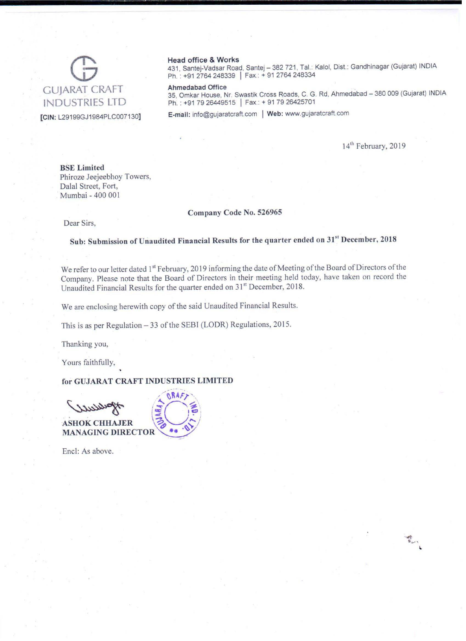

#### Head office & Works

431, Santej-Vadsar Road, Santej - 382 721, Tal.: Kalol, Dist.: Gandhinagar (Gujarat) INDIA Ph.: +91 2764 248339 | Fax.: + 91 2764 248334

35, Omkar House, Nr. Swastik Cross Roads, C. G. Rd, Ahmedabad - 380 009 (Gujarat) INDIA Ph.: +91 79 26449515 | Fax.: + 91 79 26425701

[CIN: L29199GJ1984PLC007130] E-mail: info@gujaratcraft.com I Web: www.gujaratcraft.com

14<sup>th</sup> February, 2019

 $\begin{picture}(20,20) \put(0,0){\vector(1,0){10}} \put(15,0){\vector(1,0){10}} \put(15,0){\vector(1,0){10}} \put(15,0){\vector(1,0){10}} \put(15,0){\vector(1,0){10}} \put(15,0){\vector(1,0){10}} \put(15,0){\vector(1,0){10}} \put(15,0){\vector(1,0){10}} \put(15,0){\vector(1,0){10}} \put(15,0){\vector(1,0){10}} \put(15,0){\vector(1,0){10}} \put(15,0){\vector(1$ 

BSE Limited Phiroze Jeejeebhoy Towers, Dalal Street, Fort, Mumbai - 400 001

#### Company Code No, 526965

Dear Sirs,

Sub: Submission of Unaudited Financial Results for the quarter ended on 31" December, 2018

We refer to our letter dated 1<sup>st</sup> February, 2019 informing the date of Meeting of the Board of Directors of the Company. Please note that the Board of Directors in their meeting held today, have taken on record the Unaudited Financial Results for the quarter ended on 31" December, 2018.

We are enclosing herewith copy of the said Unaudited Financial Results.

This is as per Regulation - 33 of the SEBI (LODR) Regulations, 2015.

Thanking you,

Yours faithfully,

for GUJARAT CRAFT INDUSTRIES LIMITED

SHOK CHHAJER ..... 0"'· ~ ',  $\geq$   $| \cdot |$ **ASHOK CHHAJER MANAGING DIRECTOR** 

Encl: As above.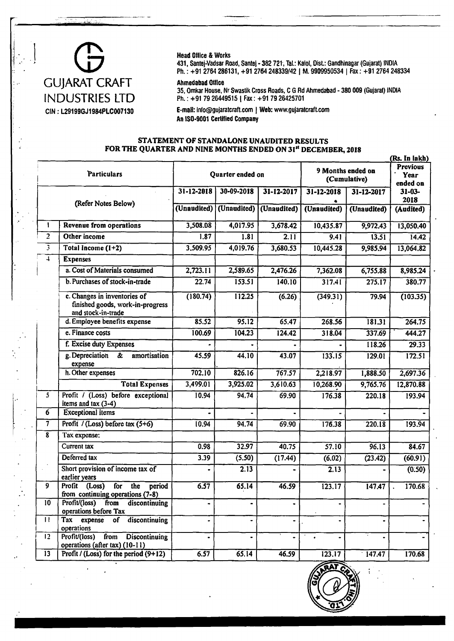## $\overline{\phantom{a}}$ GUJARAT CRAFT INDUSTRIES LTD CIN: L29199GJ1984PLC007130

#### Head Office & Works

431, Santej-Vadsar Road, Santej • 382 721, Tal.: Kalol, Oist.: Gandhinagar (Gujarat) INDIA Ph.: +91 2764 286131, +91 2764 248339/42 | M. 9909950534 | Fax: +91 2764 248334

#### Ahmedabad Office

35, Omkar House, Nr Swastik Cross Roads, C G Rd Ahmedabad - 380 009 (Gujarat) INDIA Ph.: +91 7926449515 | Fax: +91 7926425701

E-mail: [info@gujaratcraft.com](mailto:info@gujaratcraft.com) | Web: [www.gujaratcraft.com](http://www.gujaratcraft.com)  An ISQ-9001 Certified Company

#### STATEMENT OF STANDALONE UNAUDITED RESULTS FOR THE QUARTER AND NINE MONTHS ENDED ON 31" DECEMBER, 2018

|                         |                                                                                        |                         |                         |                  |                                   |             | (Rs. In lakh)                       |
|-------------------------|----------------------------------------------------------------------------------------|-------------------------|-------------------------|------------------|-----------------------------------|-------------|-------------------------------------|
| <b>Particulars</b>      |                                                                                        | Quarter ended on        |                         |                  | 9 Months ended on<br>(Cumulative) |             | <b>Previous</b><br>Year<br>ended on |
| (Refer Notes Below)     |                                                                                        | $31 - 12 - 2018$        | 30-09-2018              | $31 - 12 - 2017$ | $31 - 12 - 2018$                  | 31-12-2017  | $31 - 03 -$<br>2018                 |
|                         |                                                                                        | (Unaudited)             | (Unaudited)             | (Unaudited)      | (Unaudited)                       | (Unaudited) | (Audited)                           |
| 1                       | Revenue from operations                                                                | 3,508.08                | 4,017.95                | 3,678.42         | 10,435.87                         | 9,972.43    | 13,050.40                           |
| $\overline{2}$          | Other income                                                                           | 1.87                    | 1.81                    | 2.11             | 9.41                              | 13.51       | 14.42                               |
| 3                       | Total Income (1+2)                                                                     | 3,509.95                | 4,019.76                | 3,680.53         | 10,445.28                         | 9,985.94    | 13,064.82                           |
| $\overline{4}$          | <b>Expenses</b>                                                                        |                         |                         |                  |                                   |             |                                     |
|                         | a. Cost of Materials consumed                                                          | 2,723.11                | 2,589.65                | 2,476.26         | 7,362.08                          | 6,755.88    | 8,985.24                            |
|                         | b. Purchases of stock-in-trade                                                         | 22.74                   | 153.51                  | 140.10           | 317.41                            | 275.17      | 380.77                              |
|                         | c. Changes in inventories of<br>finished goods, work-in-progress<br>and stock-in-trade | (180.74)                | 112.25                  | (6.26)           | (349.31)                          | 79.94       | (103.35)                            |
|                         | d. Employee benefits expense                                                           | 85.52                   | 95.12                   | 65.47            | 268.56                            | 181.31      | 264.75                              |
|                         | e. Finance costs                                                                       | 100.69                  | 104.23                  | 124.42           | 318.04                            | 337.69      | 444.27                              |
|                         | f. Excise duty Expenses                                                                |                         |                         |                  |                                   | 118.26      | 29.33                               |
|                         | g. Depreciation<br>å<br>amortisation<br>expense                                        | 45.59                   | 44.10                   | 43.07            | 133.15                            | 129.01      | 172.51                              |
|                         | h. Other expenses                                                                      | 702.10                  | 826.16                  | 767.57           | 2,218.97                          | 1,888.50    | 2,697.36                            |
|                         | <b>Total Expenses</b>                                                                  | 3,499.01                | 3,925.02                | 3,610.63         | 10,268.90                         | 9,765.76    | 12,870.88                           |
| $\overline{\mathbf{5}}$ | Profit / (Loss) before exceptional<br>items and tax $(3-4)$                            | 10.94                   | 94.74                   | 69.90            | 176.38                            | 220.18      | 193.94                              |
| 6                       | <b>Exceptional items</b>                                                               |                         |                         |                  |                                   |             |                                     |
| 7                       | Profit / (Loss) before tax $(5+6)$                                                     | 10.94                   | 94.74                   | 69.90            | 176.38                            | 220.18      | 193.94                              |
| $\overline{\mathbf{8}}$ | Tax expense:                                                                           |                         |                         |                  |                                   |             |                                     |
|                         | Current tax                                                                            | 0.98                    | 32.97                   | 40.75            | 57.10                             | 96.13       | 84.67                               |
|                         | Deferred tax                                                                           | 3.39                    | (5.50)                  | (17.44)          | (6.02)                            | (23.42)     | (60.91)                             |
|                         | Short provision of income tax of<br>earlier years                                      | $\bullet$               | 2.13                    |                  | 2.13                              |             | (0.50)                              |
| $\overline{9}$          | Profit (Loss)<br>for the period<br>from continuing operations (7-8)                    | 6.57                    | 65.14                   | 46.59            | 123.17                            | 147.47      | 170.68                              |
| 10 <sup>°</sup>         | Profit/(loss)<br>from<br>discontinuing<br>operations before Tax                        |                         |                         |                  |                                   |             |                                     |
| $\mathbf{L}$            | Tax expense<br>discontinuing<br>of<br>operations                                       | $\qquad \qquad \bullet$ | $\qquad \qquad \bullet$ | $\blacksquare$   |                                   |             |                                     |
| 12                      | from<br>Profit/(loss)<br><b>Discontinuing</b><br>operations (after tax) (10-11)        | $\blacksquare$          | $\bullet$               |                  |                                   |             |                                     |
| 13                      | Profit / (Loss) for the period (9+12)                                                  | 6.57                    | 65.14                   | 46.59            | 123.17                            | 147.47      | 170.68                              |

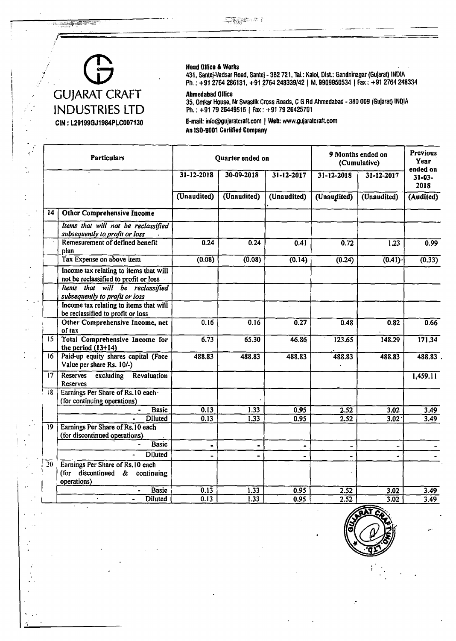<u>en sala pa</u>rta de la provincia de la construcción de la construcción de la construcción de la construcción de<br>La construcción de la construcción de la construcción de la construcción de la construcción de la construcción



#### Head Office & Works

431, Santej-Vadsar Road, Santej - 382 721, Tal.: Kalol, Dist.: Gandhinagar (Gujarat) INDIA Ph.: +91 2764 286131, +91.2764 248339/42 | M .9909950534 | Fax: +91 2764 248334

Ahmedabad Office

35, Omkar House, Nr Swastik Cross Roads, C G Rd Ahmedabad - 380 009 (Gujarat) IND.IA Ph.: +91 79 26449515 | Fax: +91 79 26425701

E-mail: [info@gujaratcraft.com](mailto:info@gujaratcraft.com) | Web: [www.gujaratcraft.com](http://www.gujaratcraft.com)  An ISQ-9001 Certified Company

| <b>Particulars</b> |                                                                                 |                | Quarter ended on  |                  | 9 Months ended on<br>(Cumulative) |                     | <b>Previous</b><br>Year         |
|--------------------|---------------------------------------------------------------------------------|----------------|-------------------|------------------|-----------------------------------|---------------------|---------------------------------|
|                    |                                                                                 | 31-12-2018     | 30-09-2018        | $31 - 12 - 2017$ | 31-12-2018                        | 31-12-2017          | ended on<br>$31 - 03 -$<br>2018 |
|                    |                                                                                 | (Unaudited)    | (Unaudited)       | (Unaudited)      | (Unaudited)                       | (Unaudited)         | (Audited)                       |
| 14                 | <b>Other Comprehensive Income</b>                                               |                |                   |                  |                                   |                     |                                 |
|                    | Items that will not be reclassified<br>subsequently to profit or loss           |                |                   |                  |                                   |                     |                                 |
|                    | Remesurement of defined benefit<br>plan                                         | 0.24           | 0.24              | 0.41             | 0.72                              | $\overline{1.23}$   | 0.99                            |
|                    | Tax Expense on above item                                                       | (0.08)         | (0.08)            | (0.14)           | (0.24)                            | $\overline{(0.41)}$ | (0.33)                          |
|                    | Income tax relating to items that will<br>not be reclassified to profit or loss |                |                   |                  |                                   |                     |                                 |
|                    | Items that will be reclassified<br>subsequently to profit or loss               |                |                   |                  |                                   |                     |                                 |
|                    | Income tax relating to items that will<br>be reclassified to profit or loss     |                |                   |                  |                                   |                     |                                 |
|                    | Other Comprehensive Income, net<br>of tax                                       | 0.16           | 0.16              | 0.27             | 0.48                              | 0.82                | 0.66                            |
| 15                 | <b>Total Comprehensive Income for</b><br>the period $(13+14)$                   | 6.73           | 65.30             | 46.86            | 123.65                            | 148.29              | 171.34                          |
| 16                 | Paid-up equity shares capital (Face<br>Value per share Rs. 10/-)                | 488.83         | 488.83            | 488.83           | 488.83                            | 488.83              | 488.83                          |
| 17                 | Reserves<br><b>Revaluation</b><br>excluding<br>Reserves                         |                |                   |                  |                                   |                     | 1,459.11                        |
| 18                 | Earnings Per Share of Rs.10 each<br>(for continuing operations)                 |                |                   |                  |                                   |                     |                                 |
|                    | <b>Basic</b>                                                                    | 0.13           | 1.33              | 0.95             | 2.52                              | 3.02                | 3.49                            |
|                    | <b>Diluted</b>                                                                  | 0.13           | 1.33              | 0.95             | 2.52                              | 3.02                | 3,49                            |
| 19                 | Earnings Per Share of Rs.10 each<br>(for discontinued operations)               |                |                   |                  |                                   |                     |                                 |
|                    | <b>Basic</b>                                                                    | $\blacksquare$ | $\blacksquare$    | $\blacksquare$   |                                   |                     |                                 |
|                    | <b>Diluted</b><br>$\blacksquare$                                                |                |                   |                  | $\blacksquare$<br>$\blacksquare$  |                     |                                 |
| 20                 | Earnings Per Share of Rs. 10 each                                               |                |                   |                  |                                   |                     |                                 |
|                    | (for discontinued $\&$<br>continuing<br>operations)                             |                |                   |                  |                                   |                     |                                 |
|                    | <b>Basic</b>                                                                    | 0.13           | 1.33              | 0.95             | 2.52                              | 3.02                | 3.49                            |
|                    | <b>Diluted</b>                                                                  | 0.13           | $1.\overline{33}$ | 0.95             | 2.52                              | 3.02                | 3.49                            |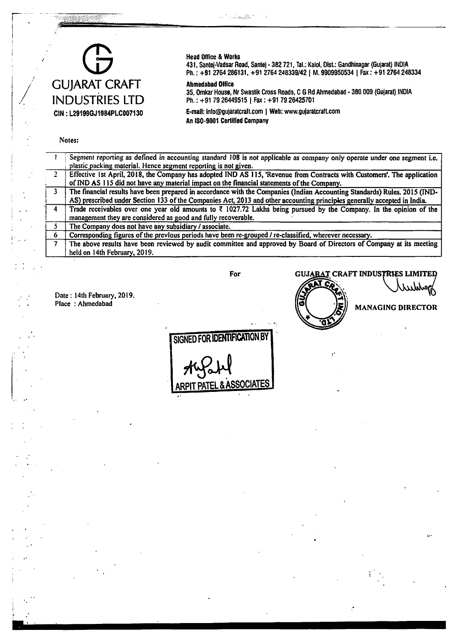## **0** GUJARAT CRAFT INDUSTRIES LTD CIN: L29199GJ1984PLCQ07130

#### Head Office & Works

 $\sim 7$  ,  $\omega\omega_{\rm 95\%}^{23.5\%}$ 

431. Santej-Vadsar Road. Santej - 382 721, Tal.: Kalol, Oist.: Gandhinagar (Gujarat) INDIA Ph.: +91 2764 286131, +91 2764 248339/42 | M. 9909950534 | Fax: +91 2764 248334

#### Ahmedabad Office

35, Omkar House, Nr Swastik Cross Roads, C G Rd Ahmedabad - 380 009 (Gujarat) INDIA Ph.: +91 79 26449515 | Fax: +91 79 26425701

E-mail: [info@gujaratcralt.com](mailto:info@gujaratcralt.com) | Web: [www.gujaratcraft.com](http://www.gujaratcraft.com) An IS0-9001 Certified Company

#### Notes:

 $\begin{picture}(120,140)(-0.000,0.000) \put(0,0){\vector(1,0){30}} \put(1,0){\vector(1,0){30}} \put(1,0){\vector(1,0){30}} \put(1,0){\vector(1,0){30}} \put(1,0){\vector(1,0){30}} \put(1,0){\vector(1,0){30}} \put(1,0){\vector(1,0){30}} \put(1,0){\vector(1,0){30}} \put(1,0){\vector(1,0){30}} \put(1,0){\vector(1,0){30}} \put(1,0){\vector(1,0){30}} \put(1,0){$ 

|   | Segment reporting as defined in accounting standard 108 is not applicable as company only operate under one segment i.e.      |
|---|-------------------------------------------------------------------------------------------------------------------------------|
|   |                                                                                                                               |
|   | plastic packing material. Hence segment reporting is not given.                                                               |
|   | Effective 1st April, 2018, the Company has adopted IND AS 115, 'Revenue from Contracts with Customers'. The application       |
|   | of IND AS 115 did not have any material impact on the financial statements of the Company.                                    |
|   | The financial results have been prepared in accordance with the Companies (Indian Accounting Standards) Rules. 2015 (IND-     |
|   | AS) prescribed under Section 133 of the Companies Act, 2013 and other accounting principles generally accepted in India.      |
| 4 | Trade receivables over one year old amounts to $\bar{\tau}$ 1027.72 Lakhs being pursued by the Company. In the opinion of the |
|   | management they are considered as good and fully recoverable.                                                                 |
|   | The Company does not have any subsidiary / associate.                                                                         |
| 6 | Corresponding figures of the previous periods have been re-grouped / re-classified, wherever necessary.                       |
|   | The above results have been reviewed by audit committee and approved by Board of Directors of Company at its meeting          |
|   | held on 14th February, 2019.                                                                                                  |

Date : 14th February, 2019. Place : Ahmedabad

#### For GUJARAT CRAFT INDUSTRIES LIMITED

Т  $\geq$ 

 $\ddot{\mathbf{r}}$ 

MANAGING DIRECTOR

SIGNED FOR IDENTIFICATION BY & ASSOCIATE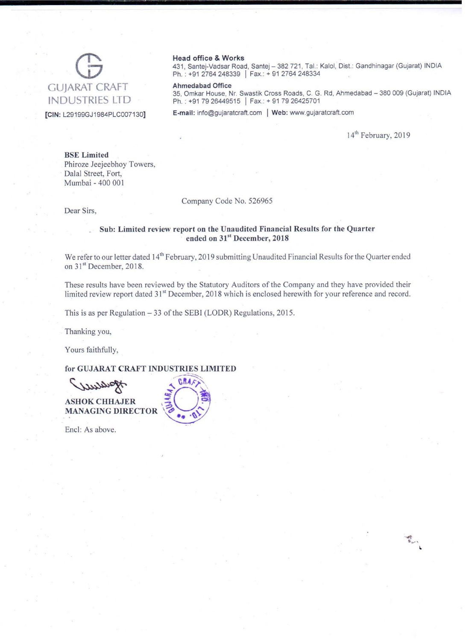# GUJARAT CRAFT INDUSTRIES LTD

[CIN: L29199GJ1984PLC007130]

#### Head office & Works

431, Santej-Vadsar Road, Santej - 382 721, Tal.: Kalol, Dist.: Gandhinagar (Gujarat) INDIA Ph.: +91 2764 248339 | Fax.: + 91 2764 248334

Ahmedabad Office

35, Omkar House, Nr. Swastik Cross Roads, C. G. Rd, Ahmedabad - 380 009 (Gujarat) INDIA Ph.: +91 79 26449515 | Fax.: + 91 79 26425701

E-mail: info@gujaratcraft.com | Web: www.gujaratcraft.com

14<sup>th</sup> February, 2019

BSE Limited Phiroze Jeejeebhoy Towers, Dalal Street, Fort, Mumbai - 400 001

#### Company Code No. 526965

**Dear Sirs,** 

#### Sub: Limited review report on the Unaudited Financial Results for the Quarter ended on 31" December, 2018

We refer to our letter dated 14<sup>th</sup> February, 2019 submitting Unaudited Financial Results for the Quarter ended on 31<sup>st</sup> December, 2018.

These results have been reviewed by the Statutory Auditors of the Company and they have provided their limited review report dated 31<sup>st</sup> December, 2018 which is enclosed herewith for your reference and record.

This is as per Regulation - 33 of the SEBI (LODR) Regulations, 2015.

Thanking you,

Yours faithfully,

for GUJARAT CRAFT INDUSTRIES LIMITED<br>
SUULADORT<br>
ASHOK CHHAJER<br>
MANAGING DIRECTOR

Encl: As above.